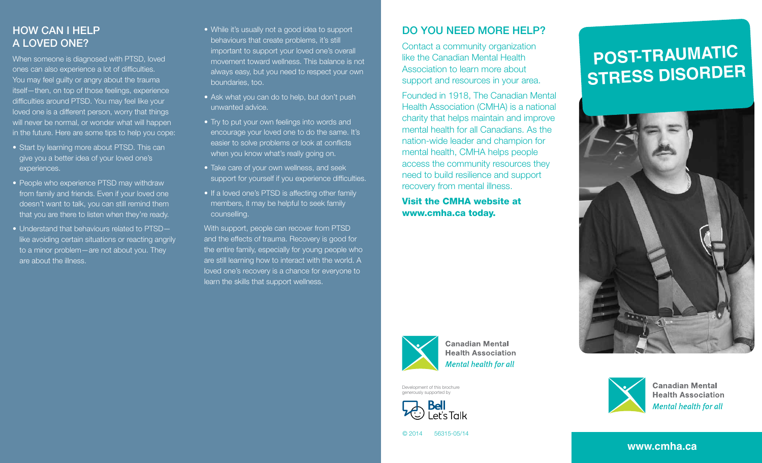## How can I help a loved one?

When someone is diagnosed with PTSD, loved ones can also experience a lot of difficulties. You may feel guilty or angry about the trauma itself—then, on top of those feelings, experience difficulties around PTSD. You may feel like your loved one is a different person, worry that things will never be normal, or wonder what will happen in the future. Here are some tips to help you cope:

- Start by learning more about PTSD. This can give you a better idea of your loved one's experiences.
- People who experience PTSD may withdraw from family and friends. Even if your loved one doesn't want to talk, you can still remind them that you are there to listen when they're ready.
- Understand that behaviours related to PTSDlike avoiding certain situations or reacting angrily to a minor problem—are not about you. They are about the illness.
- While it's usually not a good idea to support behaviours that create problems, it's still important to support your loved one's overall movement toward wellness. This balance is not always easy, but you need to respect your own boundaries, too.
- Ask what you can do to help, but don't push unwanted advice.
- Try to put your own feelings into words and encourage your loved one to do the same. It's easier to solve problems or look at conflicts when you know what's really going on.
- Take care of your own wellness, and seek support for yourself if you experience difficulties.
- If a loved one's PTSD is affecting other family members, it may be helpful to seek family counselling.

With support, people can recover from PTSD and the effects of trauma. Recovery is good for the entire family, especially for young people who are still learning how to interact with the world. A loved one's recovery is a chance for everyone to learn the skills that support wellness.

# Do you need more help?

Contact a community organization like the Canadian Mental Health Association to learn more about support and resources in your area.

Founded in 1918, The Canadian Mental Health Association (CMHA) is a national charity that helps maintain and improve mental health for all Canadians. As the nation-wide leader and champion for mental health, CMHA helps people access the community resources they need to build resilience and support recovery from mental illness.

Visit the CMHA website at www.cmha.ca today.



**Canadian Mental Health Association Mental health for all** 

Development of this brochure generously supported by



# **Stress Disorder**

**Post-Traumatic** 





**Canadian Mental Health Association Mental health for all** 

```
© 2014 56315-05/14
```